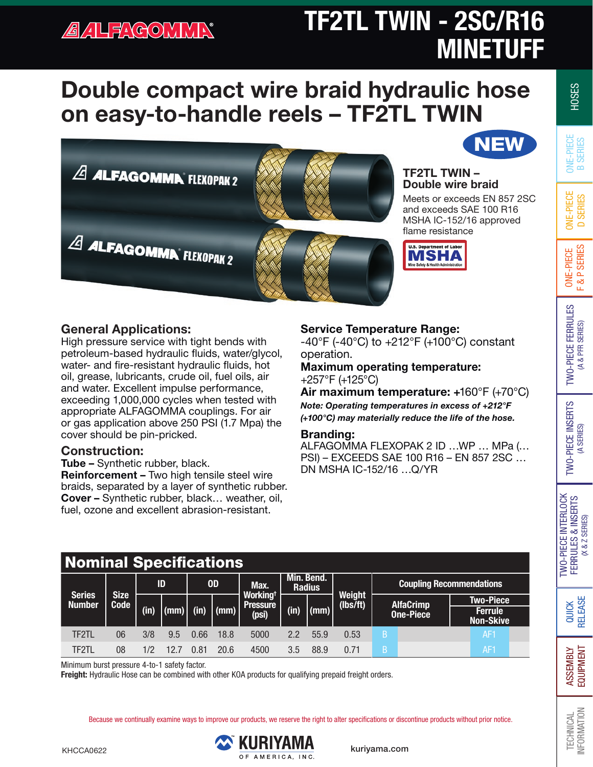### **A ALFACOMMIN**

# TF2TL TWIN - 2SC/R16 MINETUFF

## Double compact wire braid hydraulic hose on easy-to-handle reels – TF2TL TWIN



### General Applications:

High pressure service with tight bends with petroleum-based hydraulic fluids, water/glycol, water- and fire-resistant hydraulic fluids, hot oil, grease, lubricants, crude oil, fuel oils, air and water. Excellent impulse performance, exceeding 1,000,000 cycles when tested with appropriate ALFAGOMMA couplings. For air or gas application above 250 PSI (1.7 Mpa) the cover should be pin-pricked.

### Construction:

Tube – Synthetic rubber, black. Reinforcement – Two high tensile steel wire braids, separated by a layer of synthetic rubber. Cover – Synthetic rubber, black… weather, oil, fuel, ozone and excellent abrasion-resistant.

Nominal Specifications

### Service Temperature Range:

-40°F (-40°C) to +212°F (+100°C) constant operation.

Maximum operating temperature: +257°F (+125°C)

Air maximum temperature: +160°F (+70°C)

*Note: Operating temperatures in excess of +212°F (+100°C) may materially reduce the life of the hose.*

### Branding:

ALFAGOMMA FLEXOPAK 2 ID …WP … MPa (… PSI) – EXCEEDS SAE 100 R16 – EN 857 2SC … DN MSHA IC-152/16 …Q/YR

|                                | <u>ITT - ITTILITY - THE CONTRACTORS - ITTILITY - ITTILITY - ITTILITY - ITTILITY - ITTILITY - ITTILITY - ITTILITY - ITTI</u> |      |                      |           |                      |                                                  |                             |              |                                  |                                 |                  |                                    |  |
|--------------------------------|-----------------------------------------------------------------------------------------------------------------------------|------|----------------------|-----------|----------------------|--------------------------------------------------|-----------------------------|--------------|----------------------------------|---------------------------------|------------------|------------------------------------|--|
| <b>Series</b><br><b>Number</b> | <b>Size</b><br><b>Code</b>                                                                                                  | ID   |                      | <b>OD</b> |                      | Max.                                             | Min. Bend.<br><b>Radius</b> |              |                                  | <b>Coupling Recommendations</b> |                  |                                    |  |
|                                |                                                                                                                             | (in) |                      | (in)      | $\vert$ (mm) $\vert$ | Working <sup>t</sup><br><b>Pressure</b><br>(psi) | (in)                        | $\vert$ (mm) | <b>Weight</b><br>$(Ibs\bar{f}t)$ |                                 | <b>AlfaCrimp</b> | <b>Two-Piece</b>                   |  |
|                                |                                                                                                                             |      | $\vert$ (mm) $\vert$ |           |                      |                                                  |                             |              |                                  | <b>One-Piece</b>                |                  | <b>Ferrule</b><br><b>Non-Skive</b> |  |
| <b>TF2TL</b>                   | 06                                                                                                                          | 3/8  | 9.5                  | 0.66      | 18.8                 | 5000                                             | 22                          | 55.9         | 0.53                             | B.                              |                  | AF <sub>1</sub>                    |  |
| <b>TF2TL</b>                   | 08                                                                                                                          | 1/2  | 12.7                 | 0.81      | 20.6                 | 4500                                             | 3.5                         | 88.9         | 0.71                             | /B/                             |                  | AF <sub>1</sub>                    |  |

Minimum burst pressure 4-to-1 safety factor.

Freight: Hydraulic Hose can be combined with other KOA products for qualifying prepaid freight orders.

Because we continually examine ways to improve our products, we reserve the right to alter specifications or discontinue products without prior notice.



ONE-PIECE B SERIES

**HOSES** 

ONE-PIECE D SERIES

**ONE-PIECE** 

ONE-PIECE F & P SERIES

F&P SERIES **ONE-PIECE** 

> TWO-PIECE FERRULES (A & PFR SERIES)

TWO-PIECE FERRULES<br>(A & PFR SERIES)

INFORMATION | ASSEMB**LIT |** RELEASE | FERRULES & INSERTS | INGERTS | INGERITS | INGERITS | FERRULES | INGERITS | INGERITS | INGERITS | INGERITS | INGERITS | INGERITS | INGERITS | INGERITS | INGERITS | INGERITS | INGERITS |

TWO-PIECE INSERTS (A SERIES)

TWO-PIECE INSERTS

### TF2TL TWIN – Double wire braid

Meets or exceeds EN 857 2SC and exceeds SAE 100 R16 MSHA IC-152/16 approved flame resistance



ASSEMBLY EQUIPMENT

ASSEMBLY<br>EQUIPMENT

QUICK<br>Release

TWO-PIECE INTERLOCK FERRULES & INSERTS (X & Z SERIES)

TWO-PIECE INTERLOCK<br>FERRULES & INSERTS (X & Z SERIES)

TECHNICAL